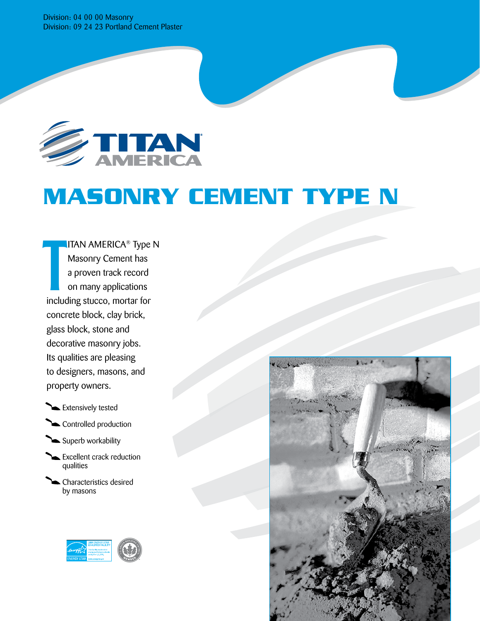Division: 04 00 00 Masonry Division: 09 24 23 Portland Cement Plaster



# **MASONRY Cement type n**

**ITAN AMERICA<sup>®</sup> Type N** Masonry Cement has a proven track record on many applications including stucco, mortar for concrete block, clay brick, glass block, stone and decorative masonry jobs. Its qualities are pleasing to designers, masons, and property owners. T



Controlled production



- **Excellent crack reduction** qualities
- Characteristics desired by masons